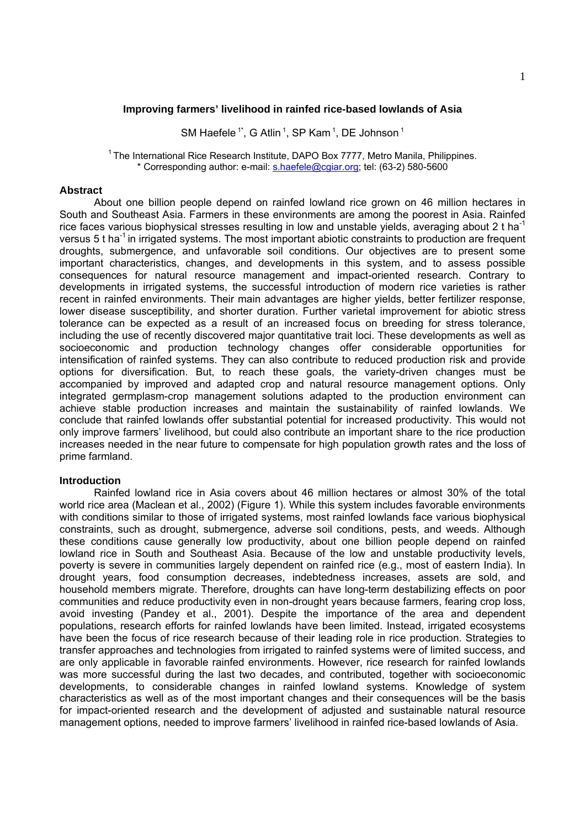# **Improving farmers' livelihood in rainfed rice-based lowlands of Asia**

SM Haefele<sup>1\*</sup>, G Atlin<sup>1</sup>, SP Kam<sup>1</sup>, DE Johnson<sup>1</sup>

<sup>1</sup> The International Rice Research Institute, DAPO Box 7777, Metro Manila, Philippines. \* Corresponding author: e-mail: s.haefele@cgiar.org; tel: (63-2) 580-5600

## **Abstract**

About one billion people depend on rainfed lowland rice grown on 46 million hectares in South and Southeast Asia. Farmers in these environments are among the poorest in Asia. Rainfed rice faces various biophysical stresses resulting in low and unstable yields, averaging about 2 t ha<sup>-1</sup> versus 5 t ha<sup>-1</sup> in irrigated systems. The most important abiotic constraints to production are frequent droughts, submergence, and unfavorable soil conditions. Our objectives are to present some important characteristics, changes, and developments in this system, and to assess possible consequences for natural resource management and impact-oriented research. Contrary to developments in irrigated systems, the successful introduction of modern rice varieties is rather recent in rainfed environments. Their main advantages are higher yields, better fertilizer response, lower disease susceptibility, and shorter duration. Further varietal improvement for abiotic stress tolerance can be expected as a result of an increased focus on breeding for stress tolerance, including the use of recently discovered major quantitative trait loci. These developments as well as socioeconomic and production technology changes offer considerable opportunities for intensification of rainfed systems. They can also contribute to reduced production risk and provide options for diversification. But, to reach these goals, the variety-driven changes must be accompanied by improved and adapted crop and natural resource management options. Only integrated germplasm-crop management solutions adapted to the production environment can achieve stable production increases and maintain the sustainability of rainfed lowlands. We conclude that rainfed lowlands offer substantial potential for increased productivity. This would not only improve farmers' livelihood, but could also contribute an important share to the rice production increases needed in the near future to compensate for high population growth rates and the loss of prime farmland.

# **Introduction**

Rainfed lowland rice in Asia covers about 46 million hectares or almost 30% of the total world rice area (Maclean et al., 2002) (Figure 1). While this system includes favorable environments with conditions similar to those of irrigated systems, most rainfed lowlands face various biophysical constraints, such as drought, submergence, adverse soil conditions, pests, and weeds. Although these conditions cause generally low productivity, about one billion people depend on rainfed lowland rice in South and Southeast Asia. Because of the low and unstable productivity levels, poverty is severe in communities largely dependent on rainfed rice (e.g., most of eastern India). In drought years, food consumption decreases, indebtedness increases, assets are sold, and household members migrate. Therefore, droughts can have long-term destabilizing effects on poor communities and reduce productivity even in non-drought years because farmers, fearing crop loss, avoid investing (Pandey et al., 2001). Despite the importance of the area and dependent populations, research efforts for rainfed lowlands have been limited. Instead, irrigated ecosystems have been the focus of rice research because of their leading role in rice production. Strategies to transfer approaches and technologies from irrigated to rainfed systems were of limited success, and are only applicable in favorable rainfed environments. However, rice research for rainfed lowlands was more successful during the last two decades, and contributed, together with socioeconomic developments, to considerable changes in rainfed lowland systems. Knowledge of system characteristics as well as of the most important changes and their consequences will be the basis for impact-oriented research and the development of adjusted and sustainable natural resource management options, needed to improve farmers' livelihood in rainfed rice-based lowlands of Asia.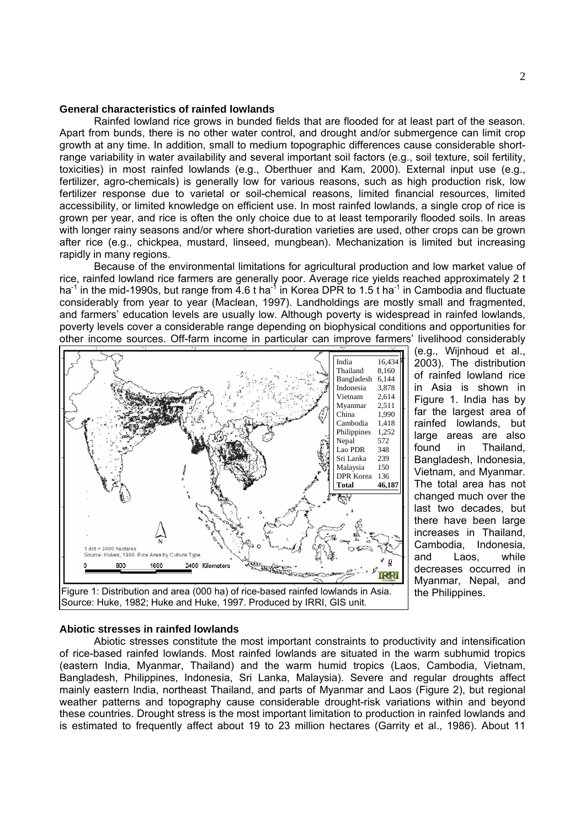## **General characteristics of rainfed lowlands**

Rainfed lowland rice grows in bunded fields that are flooded for at least part of the season. Apart from bunds, there is no other water control, and drought and/or submergence can limit crop growth at any time. In addition, small to medium topographic differences cause considerable shortrange variability in water availability and several important soil factors (e.g., soil texture, soil fertility, toxicities) in most rainfed lowlands (e.g., Oberthuer and Kam, 2000). External input use (e.g., fertilizer, agro-chemicals) is generally low for various reasons, such as high production risk, low fertilizer response due to varietal or soil-chemical reasons, limited financial resources, limited accessibility, or limited knowledge on efficient use. In most rainfed lowlands, a single crop of rice is grown per year, and rice is often the only choice due to at least temporarily flooded soils. In areas with longer rainy seasons and/or where short-duration varieties are used, other crops can be grown after rice (e.g., chickpea, mustard, linseed, mungbean). Mechanization is limited but increasing rapidly in many regions.

Because of the environmental limitations for agricultural production and low market value of rice, rainfed lowland rice farmers are generally poor. Average rice yields reached approximately 2 t ha<sup>-1</sup> in the mid-1990s, but range from 4.6 t ha<sup>-1</sup> in Korea DPR to 1.5 t ha<sup>-1</sup> in Cambodia and fluctuate considerably from year to year (Maclean, 1997). Landholdings are mostly small and fragmented, and farmers' education levels are usually low. Although poverty is widespread in rainfed lowlands, poverty levels cover a considerable range depending on biophysical conditions and opportunities for other income sources. Off-farm income in particular can improve farmers' livelihood considerably



(e.g., Wijnhoud et al., 2003). The distribution of rainfed lowland rice in Asia is shown in Figure 1. India has by far the largest area of rainfed lowlands, but large areas are also found in Thailand, Bangladesh, Indonesia, Vietnam, and Myanmar. The total area has not changed much over the last two decades, but there have been large increases in Thailand, Cambodia, Indonesia, and Laos, while decreases occurred in Myanmar, Nepal, and the Philippines.

#### **Abiotic stresses in rainfed lowlands**

Abiotic stresses constitute the most important constraints to productivity and intensification of rice-based rainfed lowlands. Most rainfed lowlands are situated in the warm subhumid tropics (eastern India, Myanmar, Thailand) and the warm humid tropics (Laos, Cambodia, Vietnam, Bangladesh, Philippines, Indonesia, Sri Lanka, Malaysia). Severe and regular droughts affect mainly eastern India, northeast Thailand, and parts of Myanmar and Laos (Figure 2), but regional weather patterns and topography cause considerable drought-risk variations within and beyond these countries. Drought stress is the most important limitation to production in rainfed lowlands and is estimated to frequently affect about 19 to 23 million hectares (Garrity et al., 1986). About 11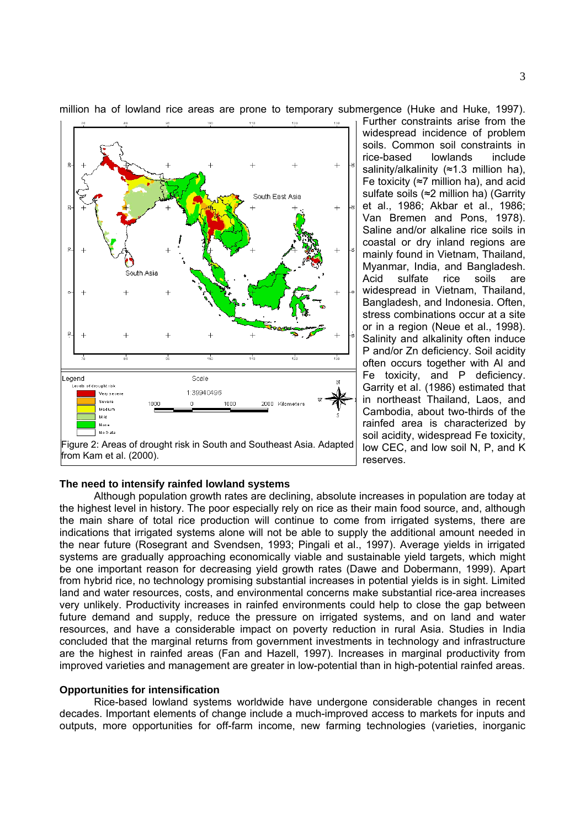

million ha of lowland rice areas are prone to temporary submergence (Huke and Huke, 1997).

Further constraints arise from the widespread incidence of problem soils. Common soil constraints in rice-based lowlands include salinity/alkalinity (≈1.3 million ha), Fe toxicity (≈7 million ha), and acid sulfate soils (≈2 million ha) (Garrity et al., 1986; Akbar et al., 1986; Van Bremen and Pons, 1978). Saline and/or alkaline rice soils in coastal or dry inland regions are mainly found in Vietnam, Thailand, Myanmar, India, and Bangladesh. Acid sulfate rice soils are widespread in Vietnam, Thailand, Bangladesh, and Indonesia. Often, stress combinations occur at a site or in a region (Neue et al., 1998). Salinity and alkalinity often induce P and/or Zn deficiency. Soil acidity often occurs together with Al and Fe toxicity, and P deficiency. Garrity et al. (1986) estimated that in northeast Thailand, Laos, and Cambodia, about two-thirds of the rainfed area is characterized by soil acidity, widespread Fe toxicity, low CEC, and low soil N, P, and K reserves.

#### **The need to intensify rainfed lowland systems**

Although population growth rates are declining, absolute increases in population are today at the highest level in history. The poor especially rely on rice as their main food source, and, although the main share of total rice production will continue to come from irrigated systems, there are indications that irrigated systems alone will not be able to supply the additional amount needed in the near future (Rosegrant and Svendsen, 1993; Pingali et al., 1997). Average yields in irrigated systems are gradually approaching economically viable and sustainable yield targets, which might be one important reason for decreasing yield growth rates (Dawe and Dobermann, 1999). Apart from hybrid rice, no technology promising substantial increases in potential yields is in sight. Limited land and water resources, costs, and environmental concerns make substantial rice-area increases very unlikely. Productivity increases in rainfed environments could help to close the gap between future demand and supply, reduce the pressure on irrigated systems, and on land and water resources, and have a considerable impact on poverty reduction in rural Asia. Studies in India concluded that the marginal returns from government investments in technology and infrastructure are the highest in rainfed areas (Fan and Hazell, 1997). Increases in marginal productivity from improved varieties and management are greater in low-potential than in high-potential rainfed areas.

## **Opportunities for intensification**

Rice-based lowland systems worldwide have undergone considerable changes in recent decades. Important elements of change include a much-improved access to markets for inputs and outputs, more opportunities for off-farm income, new farming technologies (varieties, inorganic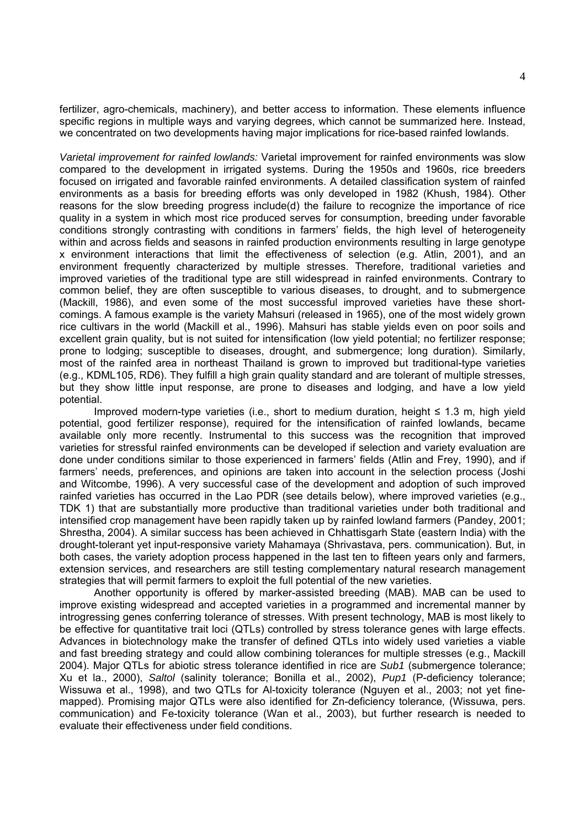fertilizer, agro-chemicals, machinery), and better access to information. These elements influence specific regions in multiple ways and varying degrees, which cannot be summarized here. Instead, we concentrated on two developments having major implications for rice-based rainfed lowlands.

*Varietal improvement for rainfed lowlands:* Varietal improvement for rainfed environments was slow compared to the development in irrigated systems. During the 1950s and 1960s, rice breeders focused on irrigated and favorable rainfed environments. A detailed classification system of rainfed environments as a basis for breeding efforts was only developed in 1982 (Khush, 1984). Other reasons for the slow breeding progress include(d) the failure to recognize the importance of rice quality in a system in which most rice produced serves for consumption, breeding under favorable conditions strongly contrasting with conditions in farmers' fields, the high level of heterogeneity within and across fields and seasons in rainfed production environments resulting in large genotype x environment interactions that limit the effectiveness of selection (e.g. Atlin, 2001), and an environment frequently characterized by multiple stresses. Therefore, traditional varieties and improved varieties of the traditional type are still widespread in rainfed environments. Contrary to common belief, they are often susceptible to various diseases, to drought, and to submergence (Mackill, 1986), and even some of the most successful improved varieties have these shortcomings. A famous example is the variety Mahsuri (released in 1965), one of the most widely grown rice cultivars in the world (Mackill et al., 1996). Mahsuri has stable yields even on poor soils and excellent grain quality, but is not suited for intensification (low yield potential; no fertilizer response; prone to lodging; susceptible to diseases, drought, and submergence; long duration). Similarly, most of the rainfed area in northeast Thailand is grown to improved but traditional-type varieties (e.g., KDML105, RD6). They fulfill a high grain quality standard and are tolerant of multiple stresses, but they show little input response, are prone to diseases and lodging, and have a low yield potential.

Improved modern-type varieties (i.e., short to medium duration, height  $\leq 1.3$  m, high yield potential, good fertilizer response), required for the intensification of rainfed lowlands, became available only more recently. Instrumental to this success was the recognition that improved varieties for stressful rainfed environments can be developed if selection and variety evaluation are done under conditions similar to those experienced in farmers' fields (Atlin and Frey, 1990), and if farmers' needs, preferences, and opinions are taken into account in the selection process (Joshi and Witcombe, 1996). A very successful case of the development and adoption of such improved rainfed varieties has occurred in the Lao PDR (see details below), where improved varieties (e.g., TDK 1) that are substantially more productive than traditional varieties under both traditional and intensified crop management have been rapidly taken up by rainfed lowland farmers (Pandey, 2001; Shrestha, 2004). A similar success has been achieved in Chhattisgarh State (eastern India) with the drought-tolerant yet input-responsive variety Mahamaya (Shrivastava, pers. communication). But, in both cases, the variety adoption process happened in the last ten to fifteen years only and farmers, extension services, and researchers are still testing complementary natural research management strategies that will permit farmers to exploit the full potential of the new varieties.

Another opportunity is offered by marker-assisted breeding (MAB). MAB can be used to improve existing widespread and accepted varieties in a programmed and incremental manner by introgressing genes conferring tolerance of stresses. With present technology, MAB is most likely to be effective for quantitative trait loci (QTLs) controlled by stress tolerance genes with large effects. Advances in biotechnology make the transfer of defined QTLs into widely used varieties a viable and fast breeding strategy and could allow combining tolerances for multiple stresses (e.g., Mackill 2004). Major QTLs for abiotic stress tolerance identified in rice are *Sub1* (submergence tolerance; Xu et la., 2000), *Saltol* (salinity tolerance; Bonilla et al., 2002), *Pup1* (P-deficiency tolerance; Wissuwa et al., 1998), and two QTLs for Al-toxicity tolerance (Nguyen et al., 2003; not yet finemapped). Promising major QTLs were also identified for Zn-deficiency tolerance*,* (Wissuwa, pers. communication) and Fe-toxicity tolerance (Wan et al., 2003), but further research is needed to evaluate their effectiveness under field conditions.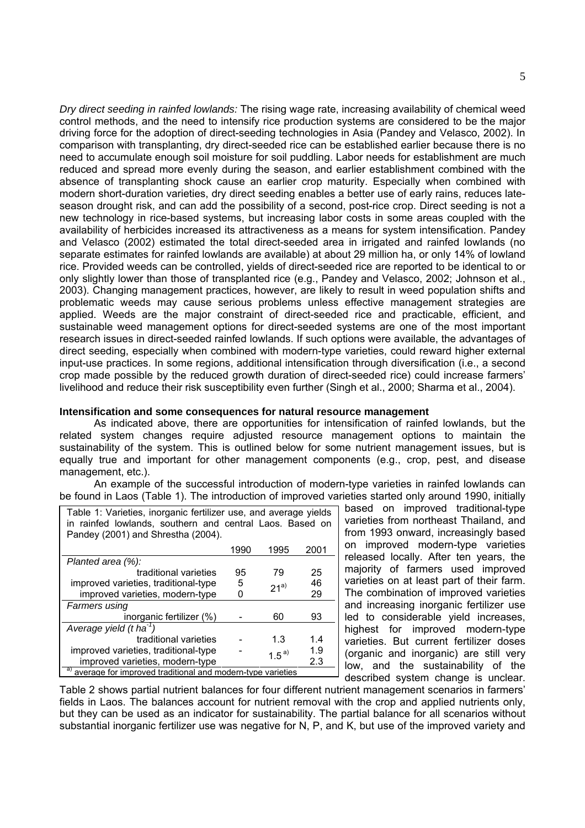*Dry direct seeding in rainfed lowlands:* The rising wage rate, increasing availability of chemical weed control methods, and the need to intensify rice production systems are considered to be the major driving force for the adoption of direct-seeding technologies in Asia (Pandey and Velasco, 2002). In comparison with transplanting, dry direct-seeded rice can be established earlier because there is no need to accumulate enough soil moisture for soil puddling. Labor needs for establishment are much reduced and spread more evenly during the season, and earlier establishment combined with the absence of transplanting shock cause an earlier crop maturity. Especially when combined with modern short-duration varieties, dry direct seeding enables a better use of early rains, reduces lateseason drought risk, and can add the possibility of a second, post-rice crop. Direct seeding is not a new technology in rice-based systems, but increasing labor costs in some areas coupled with the availability of herbicides increased its attractiveness as a means for system intensification. Pandey and Velasco (2002) estimated the total direct-seeded area in irrigated and rainfed lowlands (no separate estimates for rainfed lowlands are available) at about 29 million ha, or only 14% of lowland rice. Provided weeds can be controlled, yields of direct-seeded rice are reported to be identical to or only slightly lower than those of transplanted rice (e.g., Pandey and Velasco, 2002; Johnson et al., 2003). Changing management practices, however, are likely to result in weed population shifts and problematic weeds may cause serious problems unless effective management strategies are applied. Weeds are the major constraint of direct-seeded rice and practicable, efficient, and sustainable weed management options for direct-seeded systems are one of the most important research issues in direct-seeded rainfed lowlands. If such options were available, the advantages of direct seeding, especially when combined with modern-type varieties, could reward higher external input-use practices. In some regions, additional intensification through diversification (i.e., a second crop made possible by the reduced growth duration of direct-seeded rice) could increase farmers' livelihood and reduce their risk susceptibility even further (Singh et al., 2000; Sharma et al., 2004).

# **Intensification and some consequences for natural resource management**

As indicated above, there are opportunities for intensification of rainfed lowlands, but the related system changes require adjusted resource management options to maintain the sustainability of the system. This is outlined below for some nutrient management issues, but is equally true and important for other management components (e.g., crop, pest, and disease management, etc.).

An example of the successful introduction of modern-type varieties in rainfed lowlands can be found in Laos (Table 1). The introduction of improved varieties started only around 1990, initially

| Table 1: Varieties, inorganic fertilizer use, and average yields<br>in rainfed lowlands, southern and central Laos. Based on<br>Pandey (2001) and Shrestha (2004). |          |            |      |  |  |  |  |
|--------------------------------------------------------------------------------------------------------------------------------------------------------------------|----------|------------|------|--|--|--|--|
|                                                                                                                                                                    | 1990     | 1995       | 2001 |  |  |  |  |
| Planted area (%):                                                                                                                                                  |          |            |      |  |  |  |  |
| traditional varieties                                                                                                                                              | 95<br>79 |            |      |  |  |  |  |
| improved varieties, traditional-type                                                                                                                               | 5        | $21^{a}$   | 46   |  |  |  |  |
| improved varieties, modern-type                                                                                                                                    |          |            | 29   |  |  |  |  |
| <b>Farmers using</b>                                                                                                                                               |          |            |      |  |  |  |  |
| inorganic fertilizer (%)                                                                                                                                           | 60       | 93         |      |  |  |  |  |
| Average yield $(t \text{ ha}^{-1})$                                                                                                                                |          |            |      |  |  |  |  |
| traditional varieties                                                                                                                                              | 1.3      | 1.4        |      |  |  |  |  |
| improved varieties, traditional-type                                                                                                                               |          | $1.5^{a)}$ | 1.9  |  |  |  |  |
| improved varieties, modern-type                                                                                                                                    |          |            | 2.3  |  |  |  |  |
| a)<br>average for improved traditional and modern-type varieties                                                                                                   |          |            |      |  |  |  |  |

based on improved traditional-type varieties from northeast Thailand, and from 1993 onward, increasingly based on improved modern-type varieties released locally. After ten years, the majority of farmers used improved varieties on at least part of their farm. The combination of improved varieties and increasing inorganic fertilizer use led to considerable yield increases, highest for improved modern-type varieties. But current fertilizer doses (organic and inorganic) are still very low, and the sustainability of the described system change is unclear.

Table 2 shows partial nutrient balances for four different nutrient management scenarios in farmers' fields in Laos. The balances account for nutrient removal with the crop and applied nutrients only, but they can be used as an indicator for sustainability. The partial balance for all scenarios without substantial inorganic fertilizer use was negative for N, P, and K, but use of the improved variety and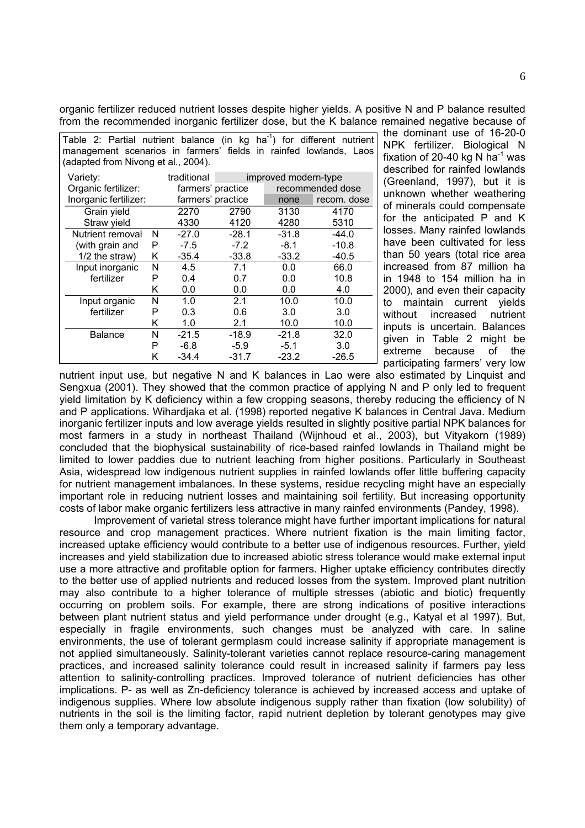organic fertilizer reduced nutrient losses despite higher yields. A positive N and P balance resulted from the recommended inorganic fertilizer dose, but the K balance remained negative because of

| Table 2: Partial nutrient balance (in kg ha <sup>-1</sup> ) for different nutrient<br>management scenarios in farmers' fields in rainfed lowlands, Laos<br>(adapted from Nivong et al., 2004). |   |                   |                      |         |             |  |  |
|------------------------------------------------------------------------------------------------------------------------------------------------------------------------------------------------|---|-------------------|----------------------|---------|-------------|--|--|
| Variety:                                                                                                                                                                                       |   | traditional       | improved modern-type |         |             |  |  |
| Organic fertilizer:                                                                                                                                                                            |   | farmers' practice | recommended dose     |         |             |  |  |
| Inorganic fertilizer:                                                                                                                                                                          |   | farmers' practice |                      | none    | recom. dose |  |  |
| Grain yield                                                                                                                                                                                    |   | 2270              | 2790                 | 3130    | 4170        |  |  |
| Straw yield                                                                                                                                                                                    |   | 4330              | 4120                 | 4280    | 5310        |  |  |
| Nutrient removal                                                                                                                                                                               | N | $-27.0$           | $-28.1$              | $-31.8$ | $-44.0$     |  |  |
| (with grain and                                                                                                                                                                                | P | $-7.5$            | $-7.2$               | $-8.1$  | $-10.8$     |  |  |
| $1/2$ the straw)                                                                                                                                                                               | Κ | $-35.4$           | $-33.8$              | $-33.2$ | $-40.5$     |  |  |
| Input inorganic                                                                                                                                                                                | N | 4.5               | 7.1                  | 0.0     | 66.0        |  |  |
| fertilizer                                                                                                                                                                                     | P | 0.4               | 0.7                  | 0.0     | 10.8        |  |  |
|                                                                                                                                                                                                | Κ | 0.0               | 0.0                  | 0.0     | 4.0         |  |  |
| Input organic                                                                                                                                                                                  | N | 1.0               | 2.1                  | 10.0    | 10.0        |  |  |
| fertilizer                                                                                                                                                                                     | Р | 0.3               | 0.6                  | 3.0     | 3.0         |  |  |
|                                                                                                                                                                                                | ĸ | 1.0               | 2.1                  | 10.0    | 10.0        |  |  |
| <b>Balance</b>                                                                                                                                                                                 | N | $-21.5$           | $-18.9$              | $-21.8$ | 32.0        |  |  |
|                                                                                                                                                                                                | P | $-6.8$            | $-5.9$               | $-5.1$  | 3.0         |  |  |
|                                                                                                                                                                                                | Κ | $-34.4$           | $-31.7$              | $-23.2$ | $-26.5$     |  |  |

the dominant use of 16-20-0 NPK fertilizer. Biological N fixation of 20-40 kg N ha<sup>-1</sup> was described for rainfed lowlands (Greenland, 1997), but it is unknown whether weathering of minerals could compensate for the anticipated P and K losses. Many rainfed lowlands have been cultivated for less than 50 years (total rice area increased from 87 million ha in 1948 to 154 million ha in 2000), and even their capacity to maintain current yields without increased nutrient inputs is uncertain. Balances given in Table 2 might be extreme because of the participating farmers' very low

nutrient input use, but negative N and K balances in Lao were also estimated by Linquist and Sengxua (2001). They showed that the common practice of applying N and P only led to frequent yield limitation by K deficiency within a few cropping seasons, thereby reducing the efficiency of N and P applications. Wihardjaka et al. (1998) reported negative K balances in Central Java. Medium inorganic fertilizer inputs and low average yields resulted in slightly positive partial NPK balances for most farmers in a study in northeast Thailand (Wijnhoud et al., 2003), but Vityakorn (1989) concluded that the biophysical sustainability of rice-based rainfed lowlands in Thailand might be limited to lower paddies due to nutrient leaching from higher positions. Particularly in Southeast Asia, widespread low indigenous nutrient supplies in rainfed lowlands offer little buffering capacity for nutrient management imbalances. In these systems, residue recycling might have an especially important role in reducing nutrient losses and maintaining soil fertility. But increasing opportunity costs of labor make organic fertilizers less attractive in many rainfed environments (Pandey, 1998).

Improvement of varietal stress tolerance might have further important implications for natural resource and crop management practices. Where nutrient fixation is the main limiting factor, increased uptake efficiency would contribute to a better use of indigenous resources. Further, yield increases and yield stabilization due to increased abiotic stress tolerance would make external input use a more attractive and profitable option for farmers. Higher uptake efficiency contributes directly to the better use of applied nutrients and reduced losses from the system. Improved plant nutrition may also contribute to a higher tolerance of multiple stresses (abiotic and biotic) frequently occurring on problem soils. For example, there are strong indications of positive interactions between plant nutrient status and yield performance under drought (e.g., Katyal et al 1997). But, especially in fragile environments, such changes must be analyzed with care. In saline environments, the use of tolerant germplasm could increase salinity if appropriate management is not applied simultaneously. Salinity-tolerant varieties cannot replace resource-caring management practices, and increased salinity tolerance could result in increased salinity if farmers pay less attention to salinity-controlling practices. Improved tolerance of nutrient deficiencies has other implications. P- as well as Zn-deficiency tolerance is achieved by increased access and uptake of indigenous supplies. Where low absolute indigenous supply rather than fixation (low solubility) of nutrients in the soil is the limiting factor, rapid nutrient depletion by tolerant genotypes may give them only a temporary advantage.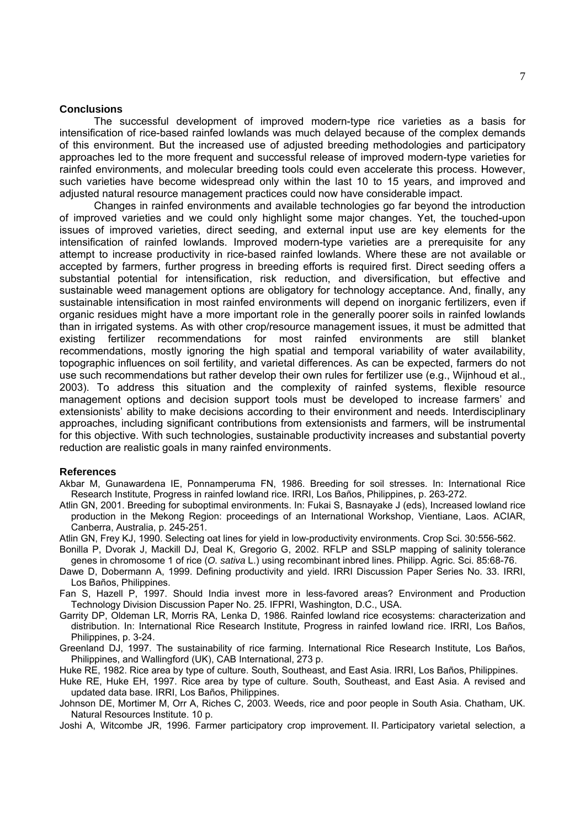## **Conclusions**

 The successful development of improved modern-type rice varieties as a basis for intensification of rice-based rainfed lowlands was much delayed because of the complex demands of this environment. But the increased use of adjusted breeding methodologies and participatory approaches led to the more frequent and successful release of improved modern-type varieties for rainfed environments, and molecular breeding tools could even accelerate this process. However, such varieties have become widespread only within the last 10 to 15 years, and improved and adjusted natural resource management practices could now have considerable impact.

Changes in rainfed environments and available technologies go far beyond the introduction of improved varieties and we could only highlight some major changes. Yet, the touched-upon issues of improved varieties, direct seeding, and external input use are key elements for the intensification of rainfed lowlands. Improved modern-type varieties are a prerequisite for any attempt to increase productivity in rice-based rainfed lowlands. Where these are not available or accepted by farmers, further progress in breeding efforts is required first. Direct seeding offers a substantial potential for intensification, risk reduction, and diversification, but effective and sustainable weed management options are obligatory for technology acceptance. And, finally, any sustainable intensification in most rainfed environments will depend on inorganic fertilizers, even if organic residues might have a more important role in the generally poorer soils in rainfed lowlands than in irrigated systems. As with other crop/resource management issues, it must be admitted that existing fertilizer recommendations for most rainfed environments are still blanket recommendations, mostly ignoring the high spatial and temporal variability of water availability, topographic influences on soil fertility, and varietal differences. As can be expected, farmers do not use such recommendations but rather develop their own rules for fertilizer use (e.g., Wijnhoud et al., 2003). To address this situation and the complexity of rainfed systems, flexible resource management options and decision support tools must be developed to increase farmers' and extensionists' ability to make decisions according to their environment and needs. Interdisciplinary approaches, including significant contributions from extensionists and farmers, will be instrumental for this objective. With such technologies, sustainable productivity increases and substantial poverty reduction are realistic goals in many rainfed environments.

#### **References**

Akbar M, Gunawardena IE, Ponnamperuma FN, 1986. Breeding for soil stresses. In: International Rice Research Institute, Progress in rainfed lowland rice. IRRI, Los Baños, Philippines, p. 263-272.

Atlin GN, 2001. Breeding for suboptimal environments. In: Fukai S, Basnayake J (eds), Increased lowland rice production in the Mekong Region: proceedings of an International Workshop, Vientiane, Laos. ACIAR, Canberra, Australia, p. 245-251.

Atlin GN, Frey KJ, 1990. Selecting oat lines for yield in low-productivity environments. Crop Sci. 30:556-562.

- Bonilla P, Dvorak J, Mackill DJ, Deal K, Gregorio G, 2002. RFLP and SSLP mapping of salinity tolerance genes in chromosome 1 of rice (*O. sativa* L.) using recombinant inbred lines. Philipp. Agric. Sci. 85:68-76.
- Dawe D, Dobermann A, 1999. Defining productivity and yield. IRRI Discussion Paper Series No. 33. IRRI, Los Baños, Philippines.
- Fan S, Hazell P, 1997. Should India invest more in less-favored areas? Environment and Production Technology Division Discussion Paper No. 25. IFPRI, Washington, D.C., USA.
- Garrity DP, Oldeman LR, Morris RA, Lenka D, 1986. Rainfed lowland rice ecosystems: characterization and distribution. In: International Rice Research Institute, Progress in rainfed lowland rice. IRRI, Los Baños, Philippines, p. 3-24.
- Greenland DJ, 1997. The sustainability of rice farming. International Rice Research Institute, Los Baños, Philippines, and Wallingford (UK), CAB International, 273 p.

Huke RE, 1982. Rice area by type of culture. South, Southeast, and East Asia. IRRI, Los Baños, Philippines.

Huke RE, Huke EH, 1997. Rice area by type of culture. South, Southeast, and East Asia. A revised and updated data base. IRRI, Los Baños, Philippines.

- Johnson DE, Mortimer M, Orr A, Riches C, 2003. Weeds, rice and poor people in South Asia. Chatham, UK. Natural Resources Institute. 10 p.
- Joshi A, Witcombe JR, 1996. Farmer participatory crop improvement. II. Participatory varietal selection, a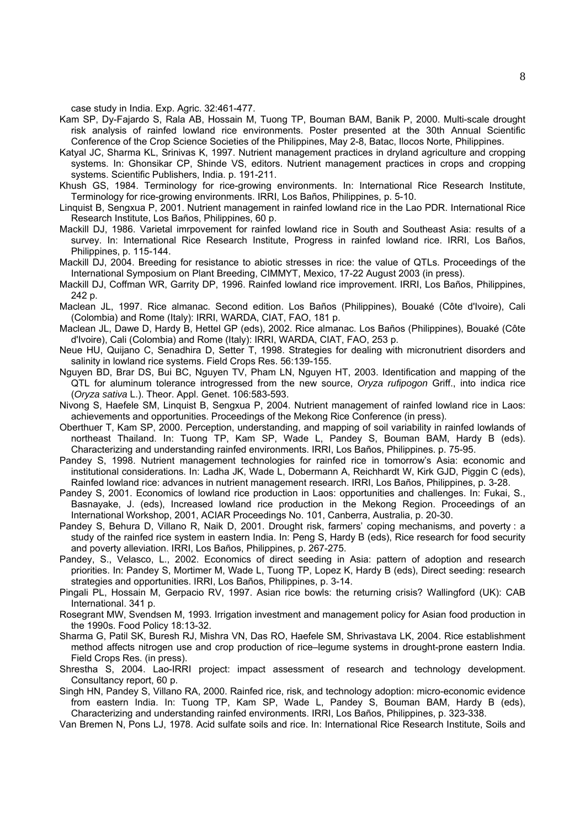case study in India. Exp. Agric. 32:461-477.

- Kam SP, Dy-Fajardo S, Rala AB, Hossain M, Tuong TP, Bouman BAM, Banik P, 2000. Multi-scale drought risk analysis of rainfed lowland rice environments. Poster presented at the 30th Annual Scientific Conference of the Crop Science Societies of the Philippines, May 2-8, Batac, Ilocos Norte, Philippines.
- Katyal JC, Sharma KL, Srinivas K, 1997. Nutrient management practices in dryland agriculture and cropping systems. In: Ghonsikar CP, Shinde VS, editors. Nutrient management practices in crops and cropping systems. Scientific Publishers, India. p. 191-211.
- Khush GS, 1984. Terminology for rice-growing environments. In: International Rice Research Institute, Terminology for rice-growing environments. IRRI, Los Baños, Philippines, p. 5-10.
- Linquist B, Sengxua P, 2001. Nutrient management in rainfed lowland rice in the Lao PDR. International Rice Research Institute, Los Baños, Philippines, 60 p.
- Mackill DJ, 1986. Varietal imrpovement for rainfed lowland rice in South and Southeast Asia: results of a survey. In: International Rice Research Institute, Progress in rainfed lowland rice. IRRI, Los Baños, Philippines, p. 115-144.
- Mackill DJ, 2004. Breeding for resistance to abiotic stresses in rice: the value of QTLs. Proceedings of the International Symposium on Plant Breeding, CIMMYT, Mexico, 17-22 August 2003 (in press).
- Mackill DJ, Coffman WR, Garrity DP, 1996. Rainfed lowland rice improvement. IRRI, Los Baños, Philippines, 242 p.
- Maclean JL, 1997. Rice almanac. Second edition. Los Baños (Philippines), Bouaké (Côte d'Ivoire), Cali (Colombia) and Rome (Italy): IRRI, WARDA, CIAT, FAO, 181 p.
- Maclean JL, Dawe D, Hardy B, Hettel GP (eds), 2002. Rice almanac. Los Baños (Philippines), Bouaké (Côte d'Ivoire), Cali (Colombia) and Rome (Italy): IRRI, WARDA, CIAT, FAO, 253 p.
- Neue HU, Quijano C, Senadhira D, Setter T, 1998. Strategies for dealing with micronutrient disorders and salinity in lowland rice systems. Field Crops Res. 56:139-155.
- Nguyen BD, Brar DS, Bui BC, Nguyen TV, Pham LN, Nguyen HT, 2003. Identification and mapping of the QTL for aluminum tolerance introgressed from the new source, *Oryza rufipogon* Griff., into indica rice (*Oryza sativa* L.). Theor. Appl. Genet. 106:583-593.
- Nivong S, Haefele SM, Linquist B, Sengxua P, 2004. Nutrient management of rainfed lowland rice in Laos: achievements and opportunities. Proceedings of the Mekong Rice Conference (in press).
- Oberthuer T, Kam SP, 2000. Perception, understanding, and mapping of soil variability in rainfed lowlands of northeast Thailand. In: Tuong TP, Kam SP, Wade L, Pandey S, Bouman BAM, Hardy B (eds). Characterizing and understanding rainfed environments. IRRI, Los Baños, Philippines. p. 75-95.
- Pandey S, 1998. Nutrient management technologies for rainfed rice in tomorrow's Asia: economic and institutional considerations. In: Ladha JK, Wade L, Dobermann A, Reichhardt W, Kirk GJD, Piggin C (eds), Rainfed lowland rice: advances in nutrient management research. IRRI, Los Baños, Philippines, p. 3-28.
- Pandey S, 2001. Economics of lowland rice production in Laos: opportunities and challenges. In: Fukai, S., Basnayake, J. (eds), Increased lowland rice production in the Mekong Region. Proceedings of an International Workshop, 2001, ACIAR Proceedings No. 101, Canberra, Australia, p. 20-30.
- Pandey S, Behura D, Villano R, Naik D, 2001. Drought risk, farmers' coping mechanisms, and poverty : a study of the rainfed rice system in eastern India. In: Peng S, Hardy B (eds), Rice research for food security and poverty alleviation. IRRI, Los Baños, Philippines, p. 267-275.
- Pandey, S., Velasco, L., 2002. Economics of direct seeding in Asia: pattern of adoption and research priorities. In: Pandey S, Mortimer M, Wade L, Tuong TP, Lopez K, Hardy B (eds), Direct seeding: research strategies and opportunities. IRRI, Los Baños, Philippines, p. 3-14.
- Pingali PL, Hossain M, Gerpacio RV, 1997. Asian rice bowls: the returning crisis? Wallingford (UK): CAB International. 341 p.
- Rosegrant MW, Svendsen M, 1993. Irrigation investment and management policy for Asian food production in the 1990s. Food Policy 18:13-32.
- Sharma G, Patil SK, Buresh RJ, Mishra VN, Das RO, Haefele SM, Shrivastava LK, 2004. Rice establishment method affects nitrogen use and crop production of rice–legume systems in drought-prone eastern India. Field Crops Res. (in press).
- Shrestha S, 2004. Lao-IRRI project: impact assessment of research and technology development. Consultancy report, 60 p.
- Singh HN, Pandey S, Villano RA, 2000. Rainfed rice, risk, and technology adoption: micro-economic evidence from eastern India. In: Tuong TP, Kam SP, Wade L, Pandey S, Bouman BAM, Hardy B (eds), Characterizing and understanding rainfed environments. IRRI, Los Baños, Philippines, p. 323-338.
- Van Bremen N, Pons LJ, 1978. Acid sulfate soils and rice. In: International Rice Research Institute, Soils and